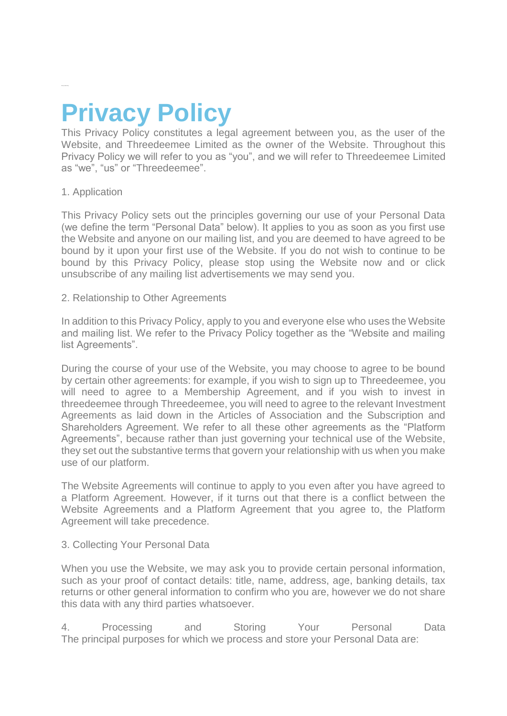# **Privacy Policy**

This Privacy Policy constitutes a legal agreement between you, as the user of the Website, and Threedeemee Limited as the owner of the Website. Throughout this Privacy Policy we will refer to you as "you", and we will refer to Threedeemee Limited as "we", "us" or "Threedeemee".

# 1. Application

This Privacy Policy sets out the principles governing our use of your Personal Data (we define the term "Personal Data" below). It applies to you as soon as you first use the Website and anyone on our mailing list, and you are deemed to have agreed to be bound by it upon your first use of the Website. If you do not wish to continue to be bound by this Privacy Policy, please stop using the Website now and or click unsubscribe of any mailing list advertisements we may send you.

2. Relationship to Other Agreements

In addition to this Privacy Policy, apply to you and everyone else who uses the Website and mailing list. We refer to the Privacy Policy together as the "Website and mailing list Agreements".

During the course of your use of the Website, you may choose to agree to be bound by certain other agreements: for example, if you wish to sign up to Threedeemee, you will need to agree to a Membership Agreement, and if you wish to invest in threedeemee through Threedeemee, you will need to agree to the relevant Investment Agreements as laid down in the Articles of Association and the Subscription and Shareholders Agreement. We refer to all these other agreements as the "Platform Agreements", because rather than just governing your technical use of the Website, they set out the substantive terms that govern your relationship with us when you make use of our platform.

The Website Agreements will continue to apply to you even after you have agreed to a Platform Agreement. However, if it turns out that there is a conflict between the Website Agreements and a Platform Agreement that you agree to, the Platform Agreement will take precedence.

# 3. Collecting Your Personal Data

When you use the Website, we may ask you to provide certain personal information, such as your proof of contact details: title, name, address, age, banking details, tax returns or other general information to confirm who you are, however we do not share this data with any third parties whatsoever.

4. Processing and Storing Your Personal Data The principal purposes for which we process and store your Personal Data are: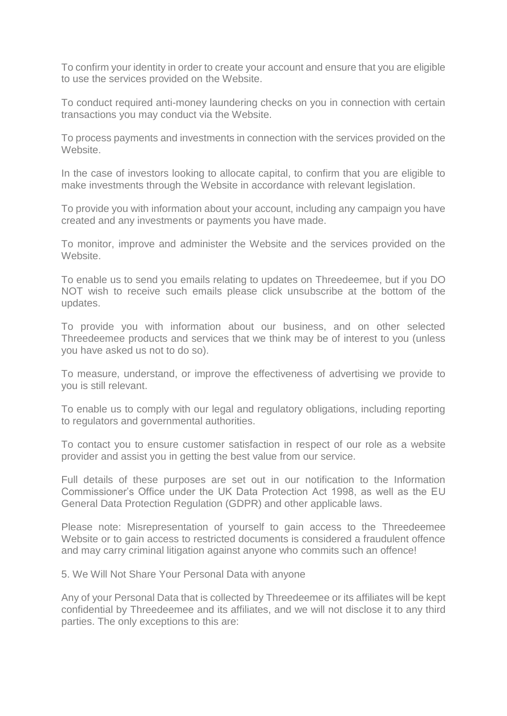To confirm your identity in order to create your account and ensure that you are eligible to use the services provided on the Website.

To conduct required anti-money laundering checks on you in connection with certain transactions you may conduct via the Website.

To process payments and investments in connection with the services provided on the Website.

In the case of investors looking to allocate capital, to confirm that you are eligible to make investments through the Website in accordance with relevant legislation.

To provide you with information about your account, including any campaign you have created and any investments or payments you have made.

To monitor, improve and administer the Website and the services provided on the Website.

To enable us to send you emails relating to updates on Threedeemee, but if you DO NOT wish to receive such emails please click unsubscribe at the bottom of the updates.

To provide you with information about our business, and on other selected Threedeemee products and services that we think may be of interest to you (unless you have asked us not to do so).

To measure, understand, or improve the effectiveness of advertising we provide to you is still relevant.

To enable us to comply with our legal and regulatory obligations, including reporting to regulators and governmental authorities.

To contact you to ensure customer satisfaction in respect of our role as a website provider and assist you in getting the best value from our service.

Full details of these purposes are set out in our notification to the Information Commissioner's Office under the UK Data Protection Act 1998, as well as the EU General Data Protection Regulation (GDPR) and other applicable laws.

Please note: Misrepresentation of yourself to gain access to the Threedeemee Website or to gain access to restricted documents is considered a fraudulent offence and may carry criminal litigation against anyone who commits such an offence!

5. We Will Not Share Your Personal Data with anyone

Any of your Personal Data that is collected by Threedeemee or its affiliates will be kept confidential by Threedeemee and its affiliates, and we will not disclose it to any third parties. The only exceptions to this are: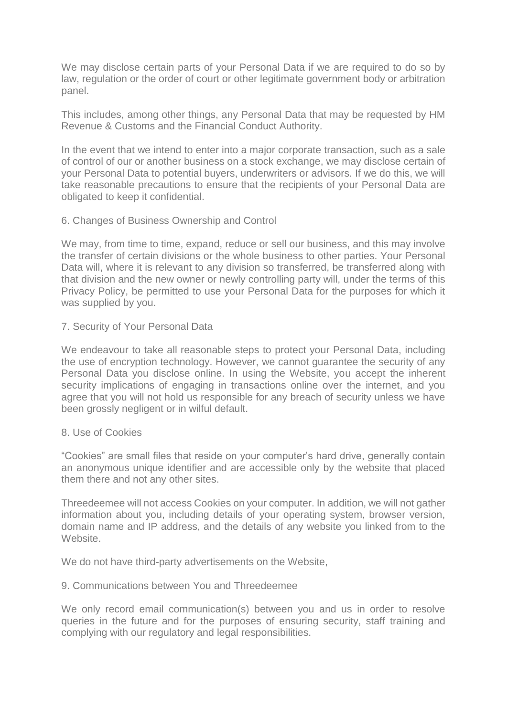We may disclose certain parts of your Personal Data if we are required to do so by law, regulation or the order of court or other legitimate government body or arbitration panel.

This includes, among other things, any Personal Data that may be requested by HM Revenue & Customs and the Financial Conduct Authority.

In the event that we intend to enter into a major corporate transaction, such as a sale of control of our or another business on a stock exchange, we may disclose certain of your Personal Data to potential buyers, underwriters or advisors. If we do this, we will take reasonable precautions to ensure that the recipients of your Personal Data are obligated to keep it confidential.

# 6. Changes of Business Ownership and Control

We may, from time to time, expand, reduce or sell our business, and this may involve the transfer of certain divisions or the whole business to other parties. Your Personal Data will, where it is relevant to any division so transferred, be transferred along with that division and the new owner or newly controlling party will, under the terms of this Privacy Policy, be permitted to use your Personal Data for the purposes for which it was supplied by you.

# 7. Security of Your Personal Data

We endeavour to take all reasonable steps to protect your Personal Data, including the use of encryption technology. However, we cannot guarantee the security of any Personal Data you disclose online. In using the Website, you accept the inherent security implications of engaging in transactions online over the internet, and you agree that you will not hold us responsible for any breach of security unless we have been grossly negligent or in wilful default.

#### 8. Use of Cookies

"Cookies" are small files that reside on your computer's hard drive, generally contain an anonymous unique identifier and are accessible only by the website that placed them there and not any other sites.

Threedeemee will not access Cookies on your computer. In addition, we will not gather information about you, including details of your operating system, browser version, domain name and IP address, and the details of any website you linked from to the Website.

We do not have third-party advertisements on the Website,

#### 9. Communications between You and Threedeemee

We only record email communication(s) between you and us in order to resolve queries in the future and for the purposes of ensuring security, staff training and complying with our regulatory and legal responsibilities.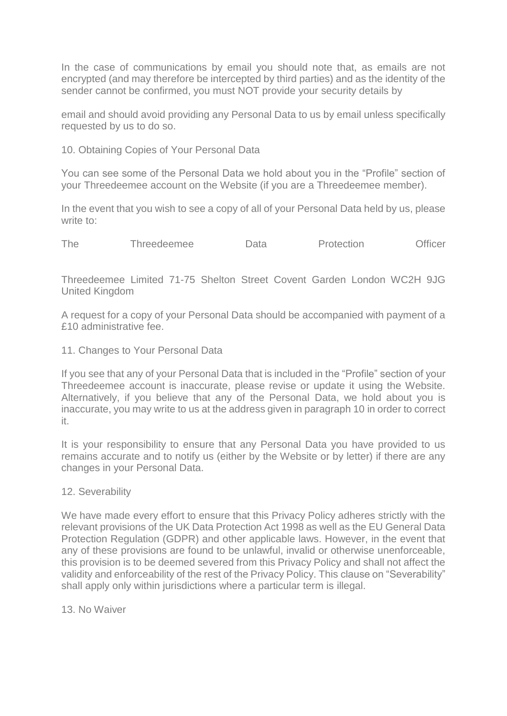In the case of communications by email you should note that, as emails are not encrypted (and may therefore be intercepted by third parties) and as the identity of the sender cannot be confirmed, you must NOT provide your security details by

email and should avoid providing any Personal Data to us by email unless specifically requested by us to do so.

10. Obtaining Copies of Your Personal Data

You can see some of the Personal Data we hold about you in the "Profile" section of your Threedeemee account on the Website (if you are a Threedeemee member).

In the event that you wish to see a copy of all of your Personal Data held by us, please write to:

The Threedeemee Data Protection Officer

Threedeemee Limited 71-75 Shelton Street Covent Garden London WC2H 9JG United Kingdom

A request for a copy of your Personal Data should be accompanied with payment of a £10 administrative fee.

11. Changes to Your Personal Data

If you see that any of your Personal Data that is included in the "Profile" section of your Threedeemee account is inaccurate, please revise or update it using the Website. Alternatively, if you believe that any of the Personal Data, we hold about you is inaccurate, you may write to us at the address given in paragraph 10 in order to correct it.

It is your responsibility to ensure that any Personal Data you have provided to us remains accurate and to notify us (either by the Website or by letter) if there are any changes in your Personal Data.

# 12. Severability

We have made every effort to ensure that this Privacy Policy adheres strictly with the relevant provisions of the UK Data Protection Act 1998 as well as the EU General Data Protection Regulation (GDPR) and other applicable laws. However, in the event that any of these provisions are found to be unlawful, invalid or otherwise unenforceable, this provision is to be deemed severed from this Privacy Policy and shall not affect the validity and enforceability of the rest of the Privacy Policy. This clause on "Severability" shall apply only within jurisdictions where a particular term is illegal.

13. No Waiver